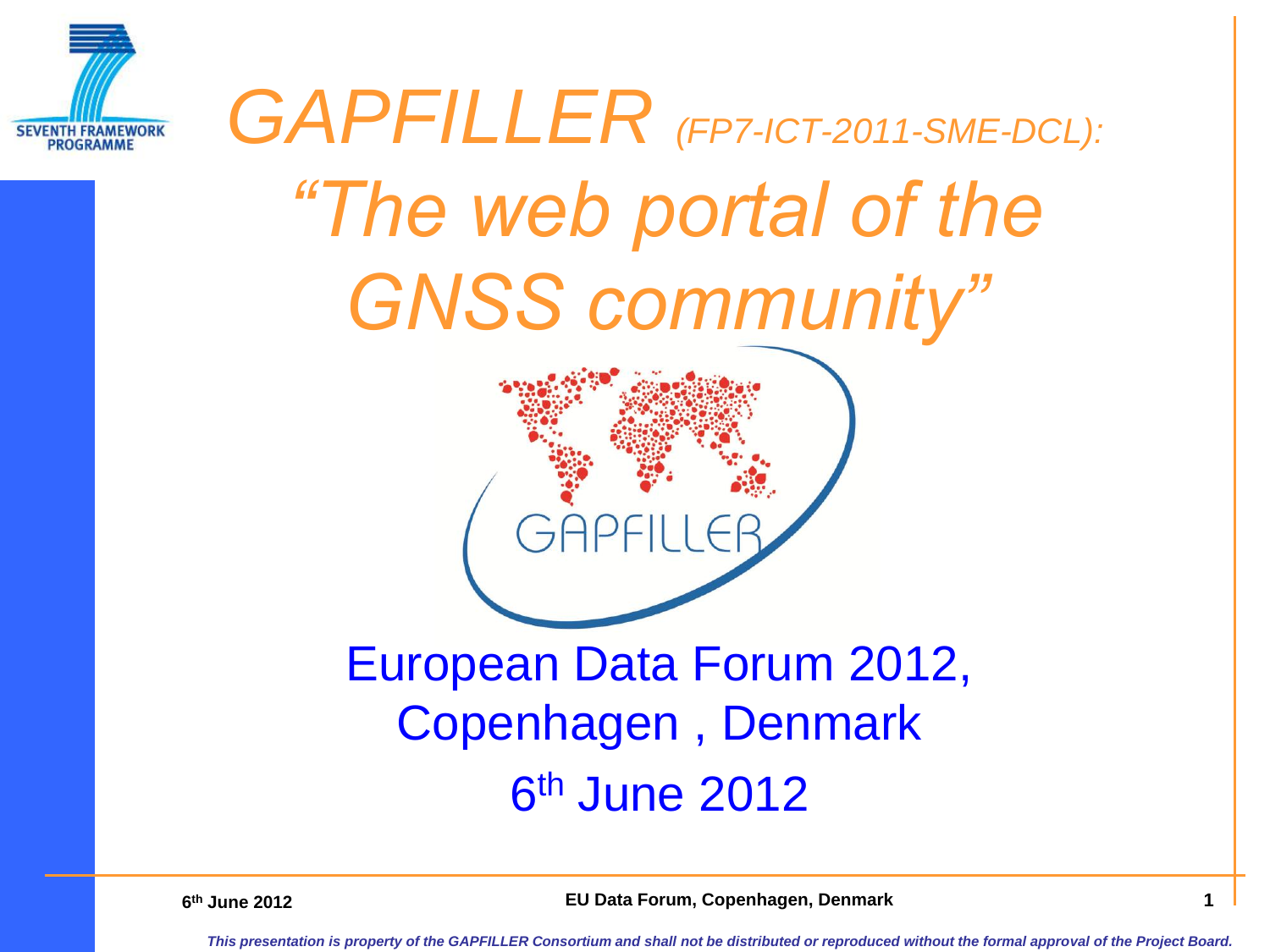

# *GAPFILLER (FP7-ICT-2011-SME-DCL): "The web portal of the GNSS community"*

#### European Data Forum 2012, Copenhagen , Denmark 6<sup>th</sup> June 2012

**6th June 2012** 

**th June 2012 EU Data Forum, Copenhagen, Denmark 1**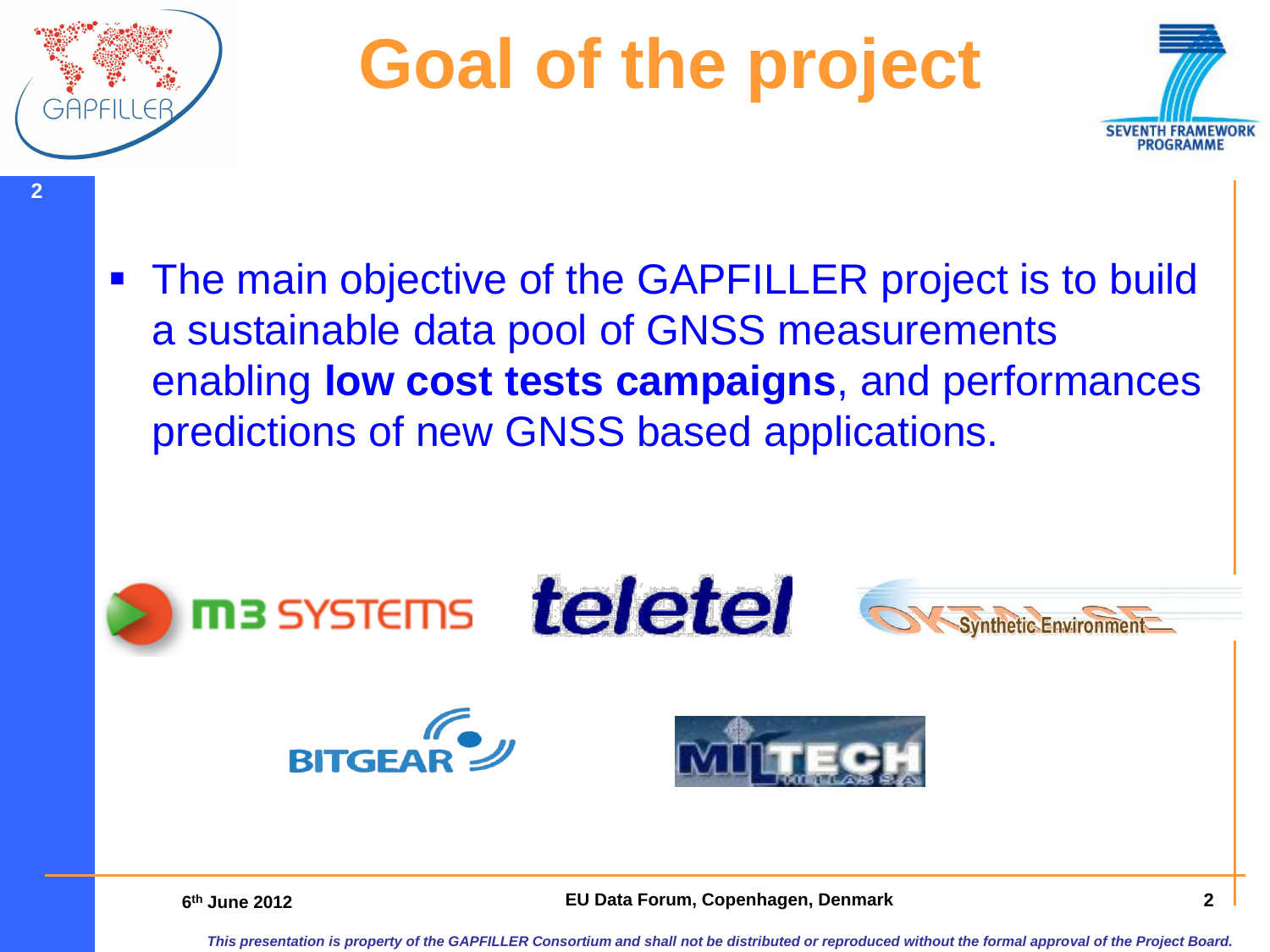

**2**

### **Goal of the project**



**The main objective of the GAPFILLER project is to build** a sustainable data pool of GNSS measurements enabling **low cost tests campaigns**, and performances predictions of new GNSS based applications.



**6th June 2012** 

**thata Forum, Copenhagen, Denmark 1912 1913 2 2**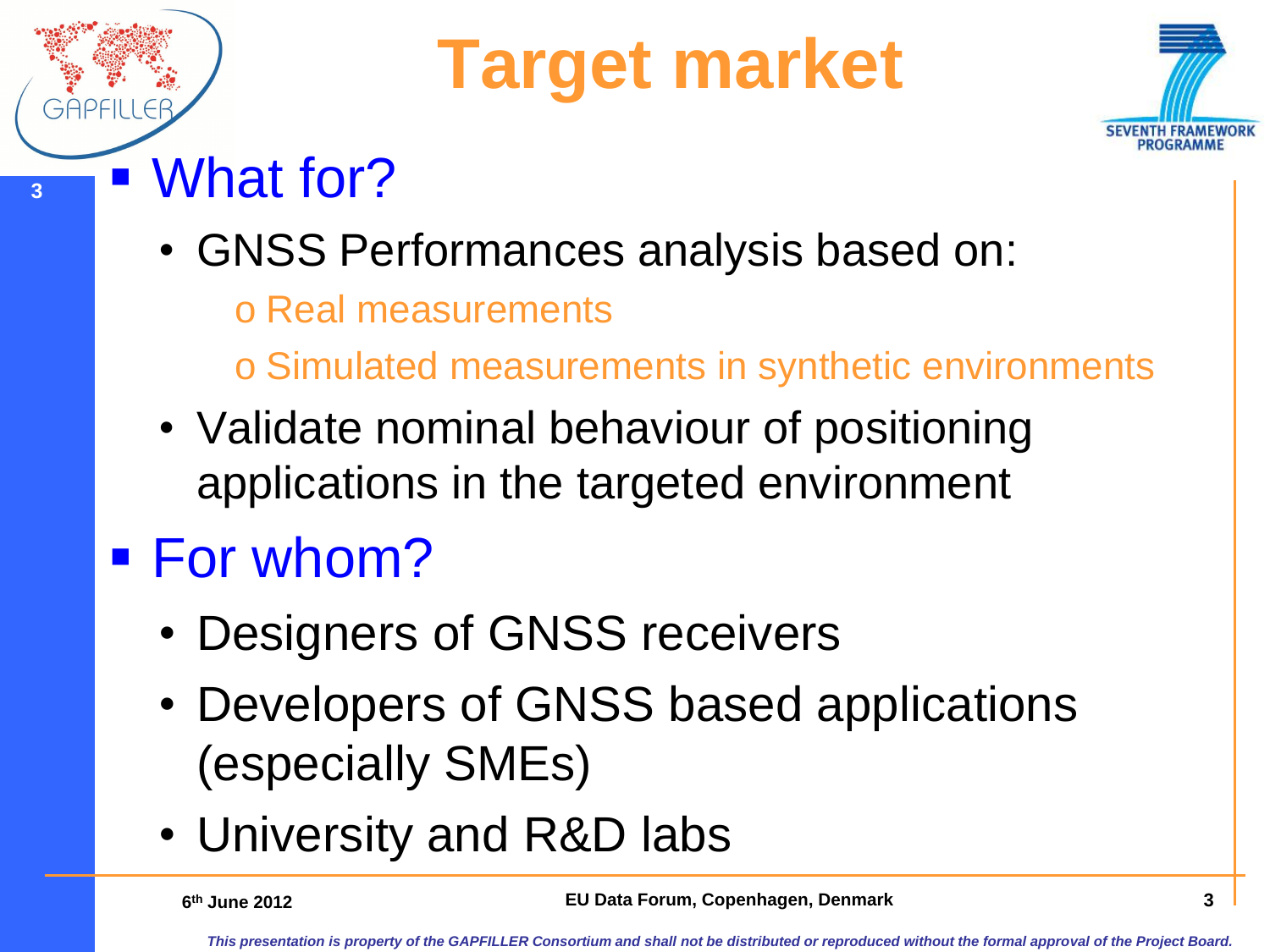## **Target market**



- **<sup>3</sup>** What for?
	- GNSS Performances analysis based on:
		- o Real measurements
		- o Simulated measurements in synthetic environments
	- Validate nominal behaviour of positioning applications in the targeted environment

### ■ For whom?

- Designers of GNSS receivers
- Developers of GNSS based applications (especially SMEs)
- University and R&D labs

6<sup>th</sup> June 2012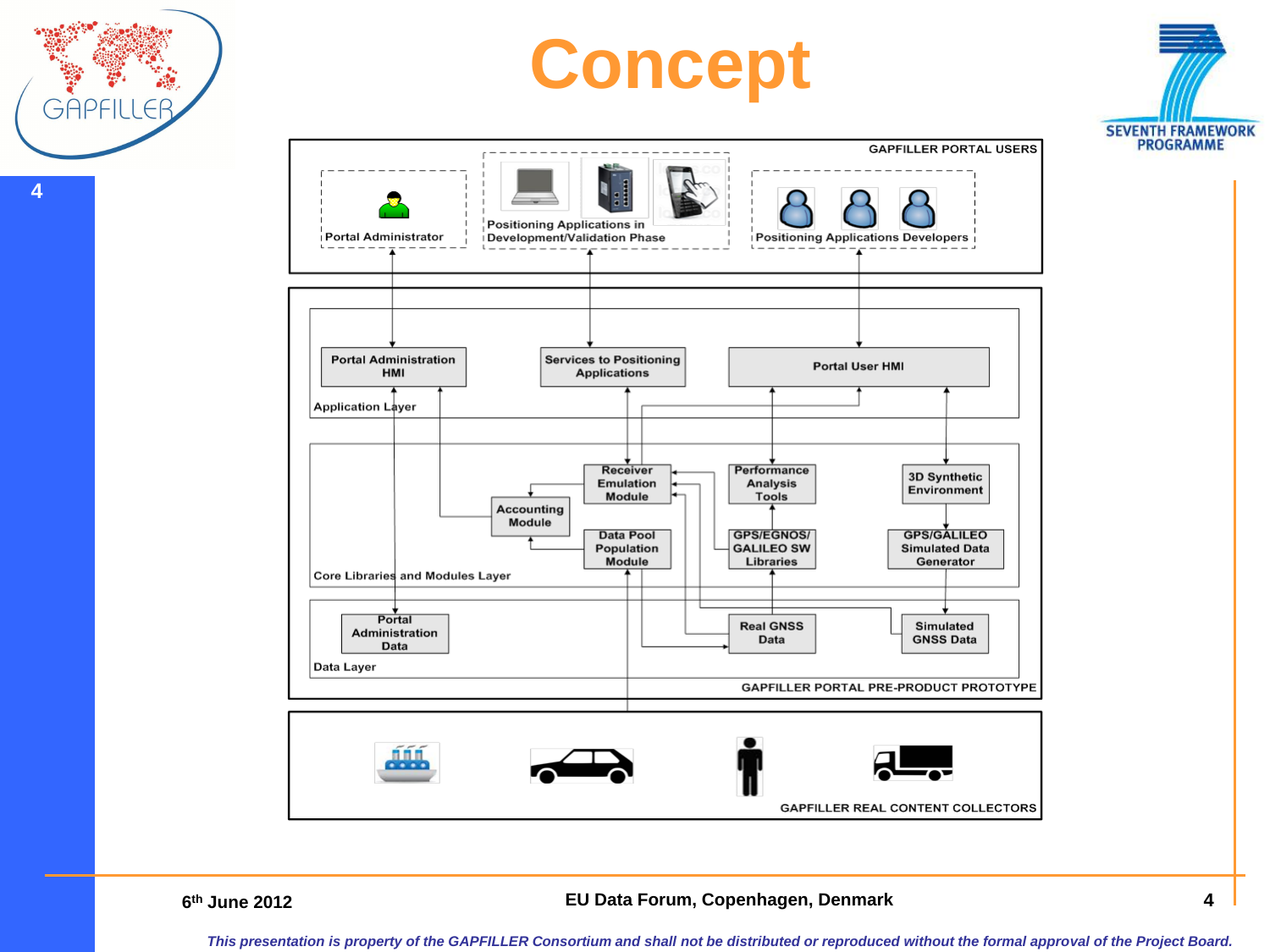

**4**

 $\overline{\mathcal{L}}$ 

#### **there LU** Data Forum, Copenhagen, Denmark **1988 1988**

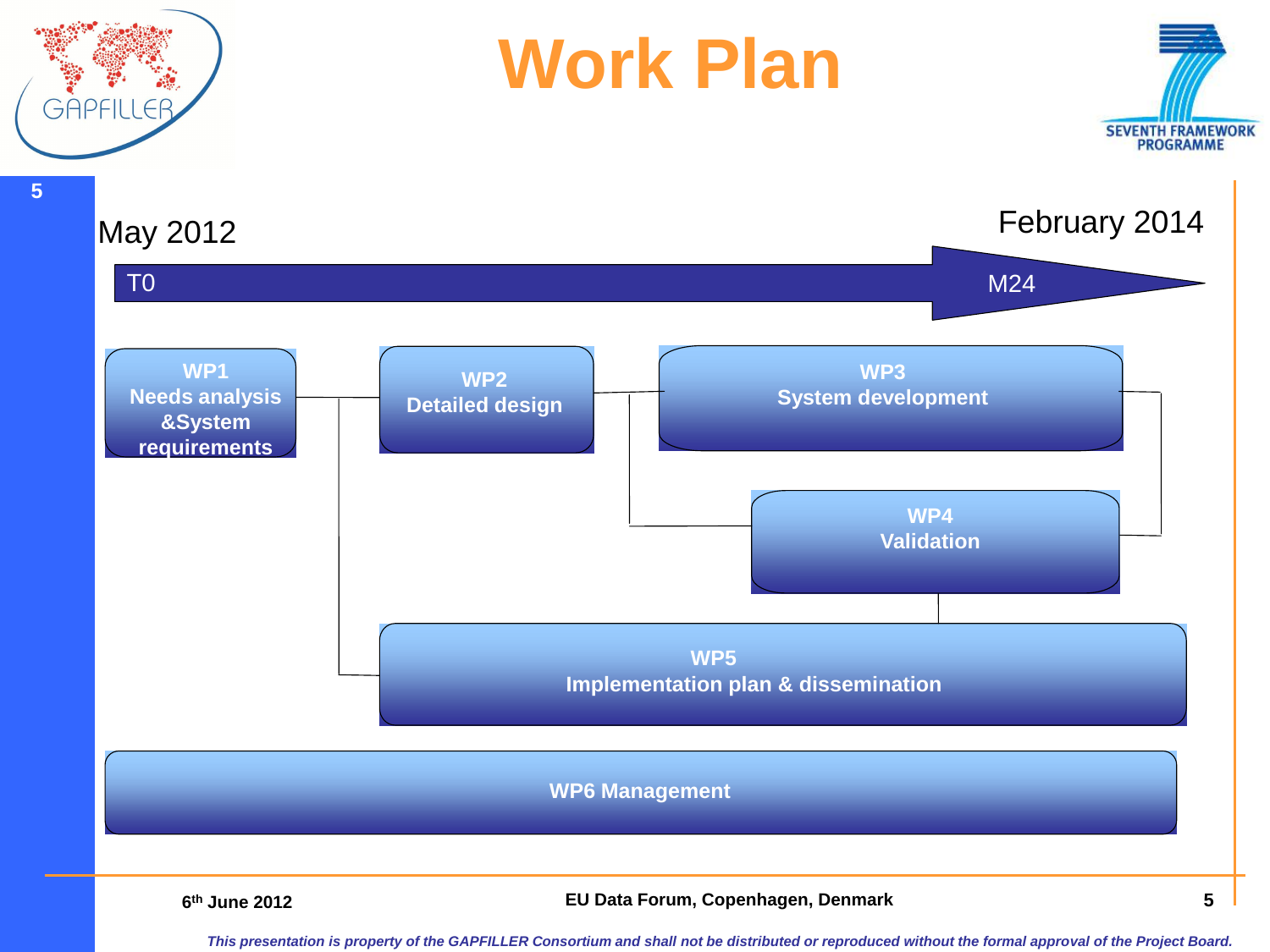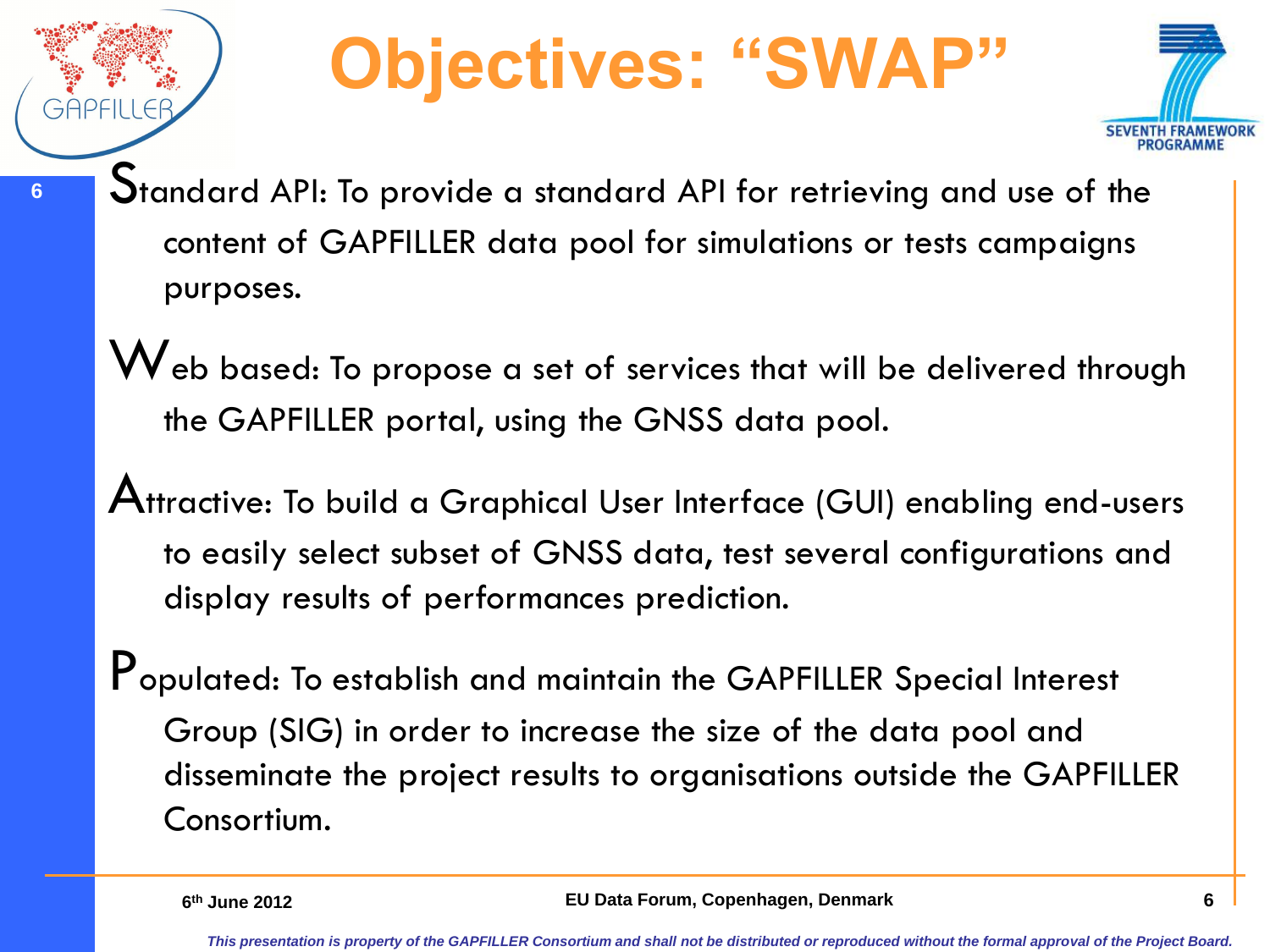## **Objectives: "SWAP"**



- **6** Standard API: To provide a standard API for retrieving and use of the content of GAPFILLER data pool for simulations or tests campaigns purposes.
	- Web based: To propose a set of services that will be delivered through the GAPFILLER portal, using the GNSS data pool.
	- Attractive: To build a Graphical User Interface (GUI) enabling end-users to easily select subset of GNSS data, test several configurations and display results of performances prediction.
	- Populated: To establish and maintain the GAPFILLER Special Interest Group (SIG) in order to increase the size of the data pool and disseminate the project results to organisations outside the GAPFILLER Consortium.

**6th June 2012**